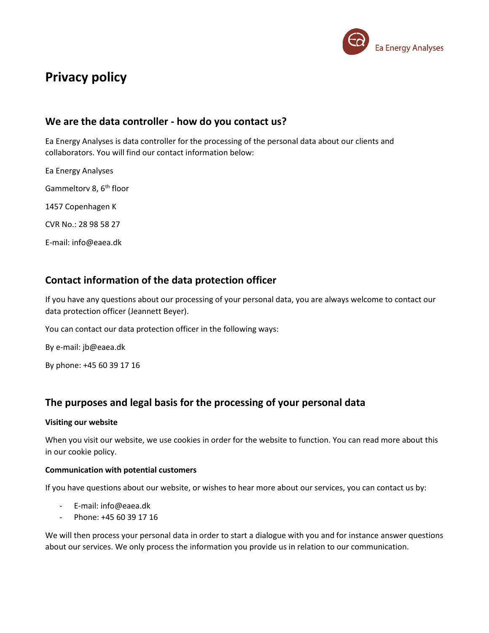

# **Privacy policy**

### **We are the data controller - how do you contact us?**

Ea Energy Analyses is data controller for the processing of the personal data about our clients and collaborators. You will find our contact information below:

Ea Energy Analyses Gammeltory 8, 6<sup>th</sup> floor 1457 Copenhagen K CVR No.: 28 98 58 27 E-mail: info@eaea.dk

## **Contact information of the data protection officer**

If you have any questions about our processing of your personal data, you are always welcome to contact our data protection officer (Jeannett Beyer).

You can contact our data protection officer in the following ways:

By e-mail: jb@eaea.dk

By phone: +45 60 39 17 16

# **The purposes and legal basis for the processing of your personal data**

### **Visiting our website**

When you visit our website, we use cookies in order for the website to function. You can read more about this in our cookie policy.

### **Communication with potential customers**

If you have questions about our website, or wishes to hear more about our services, you can contact us by:

- E-mail: info@eaea.dk
- Phone: +45 60 39 17 16

We will then process your personal data in order to start a dialogue with you and for instance answer questions about our services. We only process the information you provide us in relation to our communication.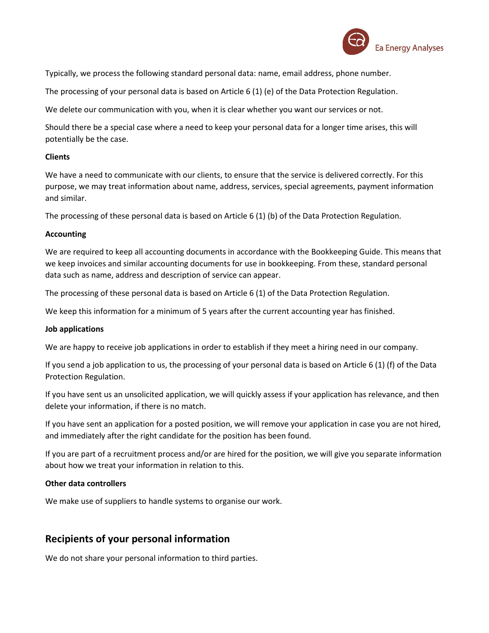

Typically, we process the following standard personal data: name, email address, phone number.

The processing of your personal data is based on Article 6 (1) (e) of the Data Protection Regulation.

We delete our communication with you, when it is clear whether you want our services or not.

Should there be a special case where a need to keep your personal data for a longer time arises, this will potentially be the case.

### **Clients**

We have a need to communicate with our clients, to ensure that the service is delivered correctly. For this purpose, we may treat information about name, address, services, special agreements, payment information and similar.

The processing of these personal data is based on Article 6 (1) (b) of the Data Protection Regulation.

### **Accounting**

We are required to keep all accounting documents in accordance with the Bookkeeping Guide. This means that we keep invoices and similar accounting documents for use in bookkeeping. From these, standard personal data such as name, address and description of service can appear.

The processing of these personal data is based on Article 6 (1) of the Data Protection Regulation.

We keep this information for a minimum of 5 years after the current accounting year has finished.

#### **Job applications**

We are happy to receive job applications in order to establish if they meet a hiring need in our company.

If you send a job application to us, the processing of your personal data is based on Article 6 (1) (f) of the Data Protection Regulation.

If you have sent us an unsolicited application, we will quickly assess if your application has relevance, and then delete your information, if there is no match.

If you have sent an application for a posted position, we will remove your application in case you are not hired, and immediately after the right candidate for the position has been found.

If you are part of a recruitment process and/or are hired for the position, we will give you separate information about how we treat your information in relation to this.

### **Other data controllers**

We make use of suppliers to handle systems to organise our work.

### **Recipients of your personal information**

We do not share your personal information to third parties.